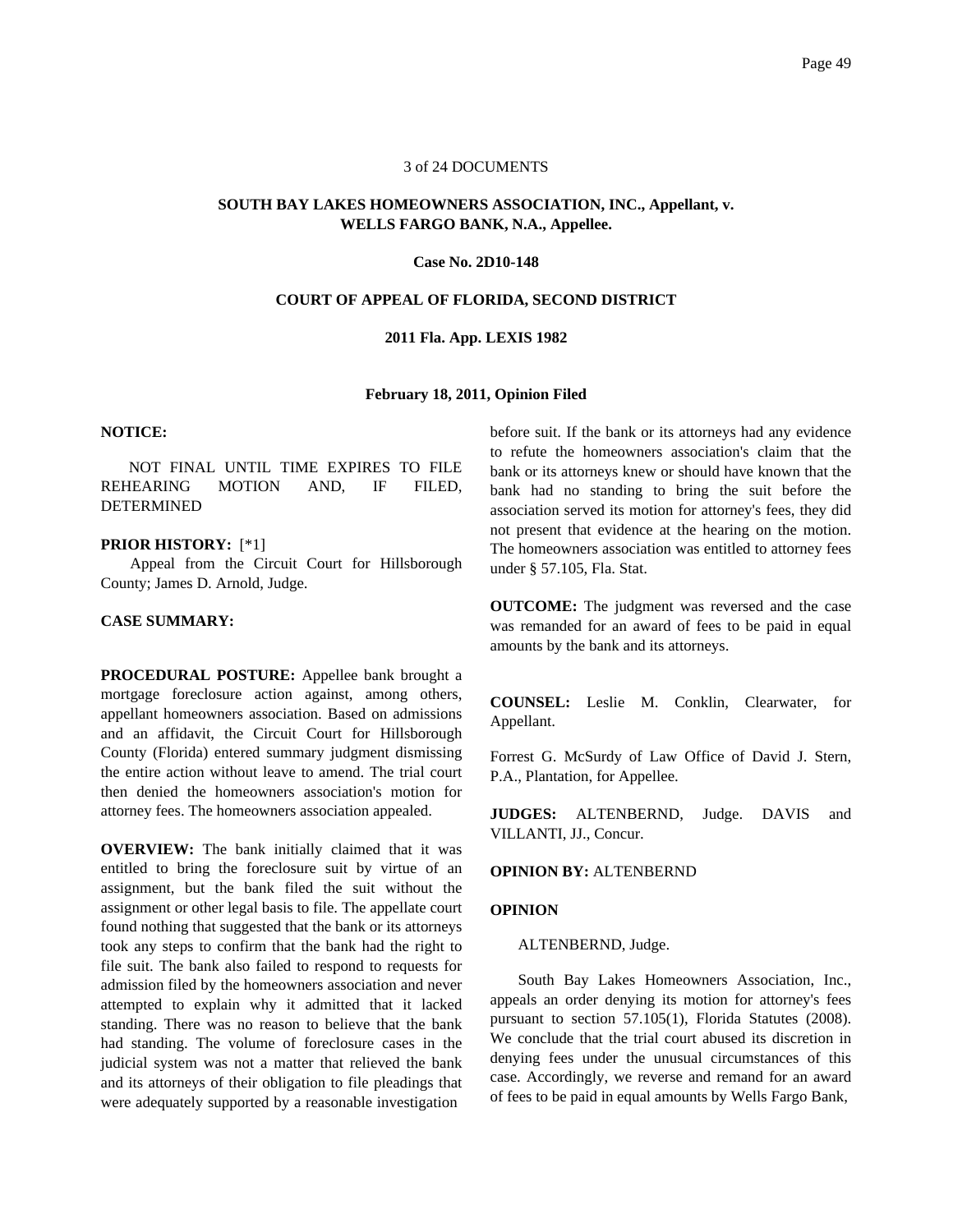### 3 of 24 DOCUMENTS

# **SOUTH BAY LAKES HOMEOWNERS ASSOCIATION, INC., Appellant, v. WELLS FARGO BANK, N.A., Appellee.**

#### **Case No. 2D10-148**

### **COURT OF APPEAL OF FLORIDA, SECOND DISTRICT**

# **2011 Fla. App. LEXIS 1982**

# **February 18, 2011, Opinion Filed**

### **NOTICE:**

NOT FINAL UNTIL TIME EXPIRES TO FILE REHEARING MOTION AND, IF FILED, DETERMINED

#### **PRIOR HISTORY:** [\*1]

Appeal from the Circuit Court for Hillsborough County; James D. Arnold, Judge.

### **CASE SUMMARY:**

**PROCEDURAL POSTURE:** Appellee bank brought a mortgage foreclosure action against, among others, appellant homeowners association. Based on admissions and an affidavit, the Circuit Court for Hillsborough County (Florida) entered summary judgment dismissing the entire action without leave to amend. The trial court then denied the homeowners association's motion for attorney fees. The homeowners association appealed.

**OVERVIEW:** The bank initially claimed that it was entitled to bring the foreclosure suit by virtue of an assignment, but the bank filed the suit without the assignment or other legal basis to file. The appellate court found nothing that suggested that the bank or its attorneys took any steps to confirm that the bank had the right to file suit. The bank also failed to respond to requests for admission filed by the homeowners association and never attempted to explain why it admitted that it lacked standing. There was no reason to believe that the bank had standing. The volume of foreclosure cases in the judicial system was not a matter that relieved the bank and its attorneys of their obligation to file pleadings that were adequately supported by a reasonable investigation

before suit. If the bank or its attorneys had any evidence to refute the homeowners association's claim that the bank or its attorneys knew or should have known that the bank had no standing to bring the suit before the association served its motion for attorney's fees, they did not present that evidence at the hearing on the motion. The homeowners association was entitled to attorney fees under § 57.105, Fla. Stat.

**OUTCOME:** The judgment was reversed and the case was remanded for an award of fees to be paid in equal amounts by the bank and its attorneys.

**COUNSEL:** Leslie M. Conklin, Clearwater, for Appellant.

Forrest G. McSurdy of Law Office of David J. Stern, P.A., Plantation, for Appellee.

**JUDGES:** ALTENBERND, Judge. DAVIS and VILLANTI, JJ., Concur.

## **OPINION BY:** ALTENBERND

#### **OPINION**

ALTENBERND, Judge.

South Bay Lakes Homeowners Association, Inc., appeals an order denying its motion for attorney's fees pursuant to section 57.105(1), Florida Statutes (2008). We conclude that the trial court abused its discretion in denying fees under the unusual circumstances of this case. Accordingly, we reverse and remand for an award of fees to be paid in equal amounts by Wells Fargo Bank,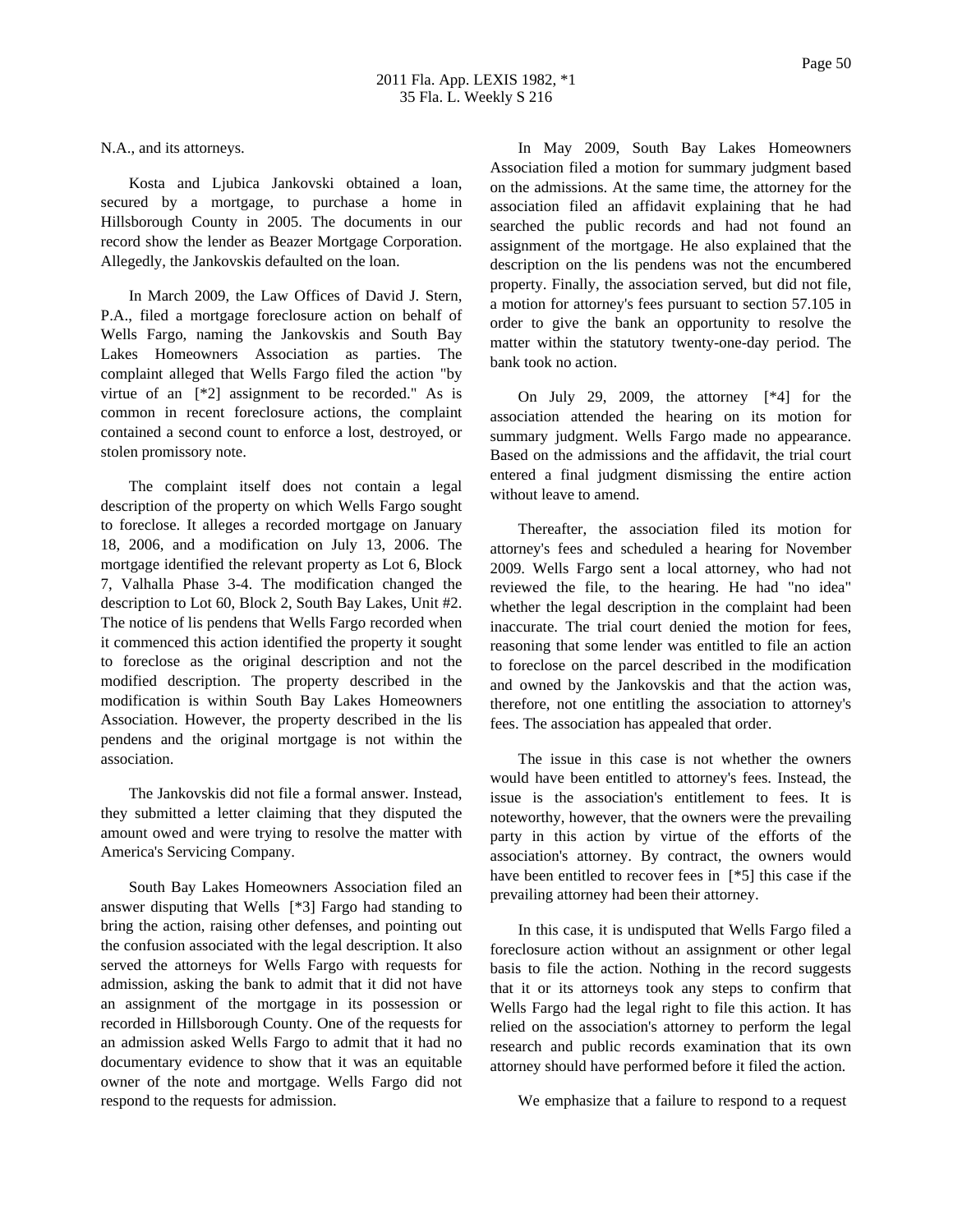N.A., and its attorneys.

Kosta and Ljubica Jankovski obtained a loan, secured by a mortgage, to purchase a home in Hillsborough County in 2005. The documents in our record show the lender as Beazer Mortgage Corporation. Allegedly, the Jankovskis defaulted on the loan.

In March 2009, the Law Offices of David J. Stern, P.A., filed a mortgage foreclosure action on behalf of Wells Fargo, naming the Jankovskis and South Bay Lakes Homeowners Association as parties. The complaint alleged that Wells Fargo filed the action "by virtue of an [\*2] assignment to be recorded." As is common in recent foreclosure actions, the complaint contained a second count to enforce a lost, destroyed, or stolen promissory note.

The complaint itself does not contain a legal description of the property on which Wells Fargo sought to foreclose. It alleges a recorded mortgage on January 18, 2006, and a modification on July 13, 2006. The mortgage identified the relevant property as Lot 6, Block 7, Valhalla Phase 3-4. The modification changed the description to Lot 60, Block 2, South Bay Lakes, Unit #2. The notice of lis pendens that Wells Fargo recorded when it commenced this action identified the property it sought to foreclose as the original description and not the modified description. The property described in the modification is within South Bay Lakes Homeowners Association. However, the property described in the lis pendens and the original mortgage is not within the association.

The Jankovskis did not file a formal answer. Instead, they submitted a letter claiming that they disputed the amount owed and were trying to resolve the matter with America's Servicing Company.

South Bay Lakes Homeowners Association filed an answer disputing that Wells [\*3] Fargo had standing to bring the action, raising other defenses, and pointing out the confusion associated with the legal description. It also served the attorneys for Wells Fargo with requests for admission, asking the bank to admit that it did not have an assignment of the mortgage in its possession or recorded in Hillsborough County. One of the requests for an admission asked Wells Fargo to admit that it had no documentary evidence to show that it was an equitable owner of the note and mortgage. Wells Fargo did not respond to the requests for admission.

In May 2009, South Bay Lakes Homeowners Association filed a motion for summary judgment based on the admissions. At the same time, the attorney for the association filed an affidavit explaining that he had searched the public records and had not found an assignment of the mortgage. He also explained that the description on the lis pendens was not the encumbered property. Finally, the association served, but did not file, a motion for attorney's fees pursuant to section 57.105 in order to give the bank an opportunity to resolve the matter within the statutory twenty-one-day period. The bank took no action.

On July 29, 2009, the attorney [\*4] for the association attended the hearing on its motion for summary judgment. Wells Fargo made no appearance. Based on the admissions and the affidavit, the trial court entered a final judgment dismissing the entire action without leave to amend.

Thereafter, the association filed its motion for attorney's fees and scheduled a hearing for November 2009. Wells Fargo sent a local attorney, who had not reviewed the file, to the hearing. He had "no idea" whether the legal description in the complaint had been inaccurate. The trial court denied the motion for fees, reasoning that some lender was entitled to file an action to foreclose on the parcel described in the modification and owned by the Jankovskis and that the action was, therefore, not one entitling the association to attorney's fees. The association has appealed that order.

The issue in this case is not whether the owners would have been entitled to attorney's fees. Instead, the issue is the association's entitlement to fees. It is noteworthy, however, that the owners were the prevailing party in this action by virtue of the efforts of the association's attorney. By contract, the owners would have been entitled to recover fees in [\*5] this case if the prevailing attorney had been their attorney.

In this case, it is undisputed that Wells Fargo filed a foreclosure action without an assignment or other legal basis to file the action. Nothing in the record suggests that it or its attorneys took any steps to confirm that Wells Fargo had the legal right to file this action. It has relied on the association's attorney to perform the legal research and public records examination that its own attorney should have performed before it filed the action.

We emphasize that a failure to respond to a request